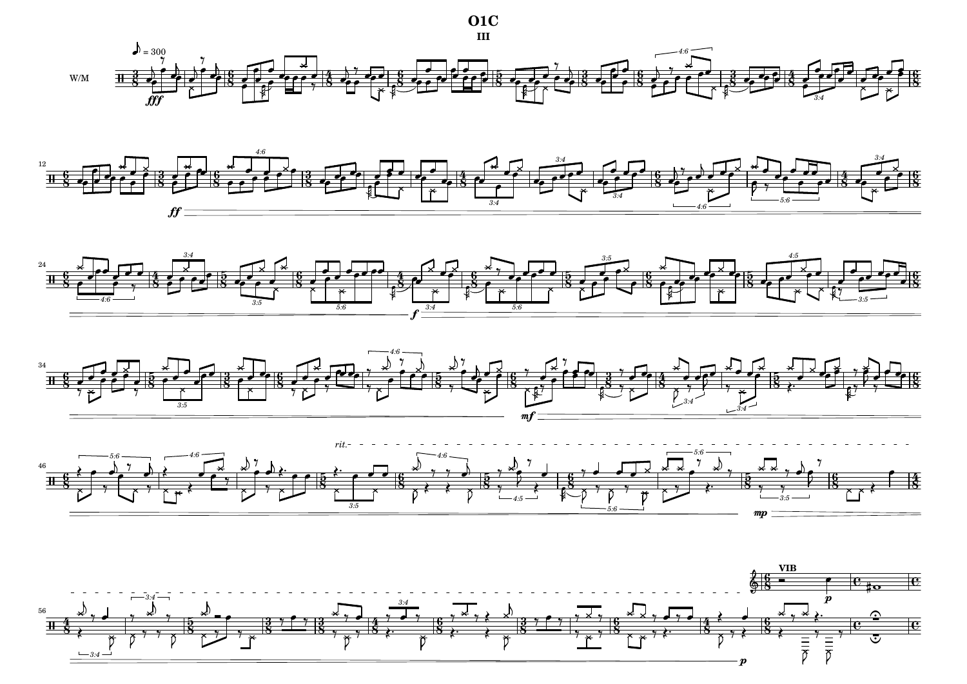









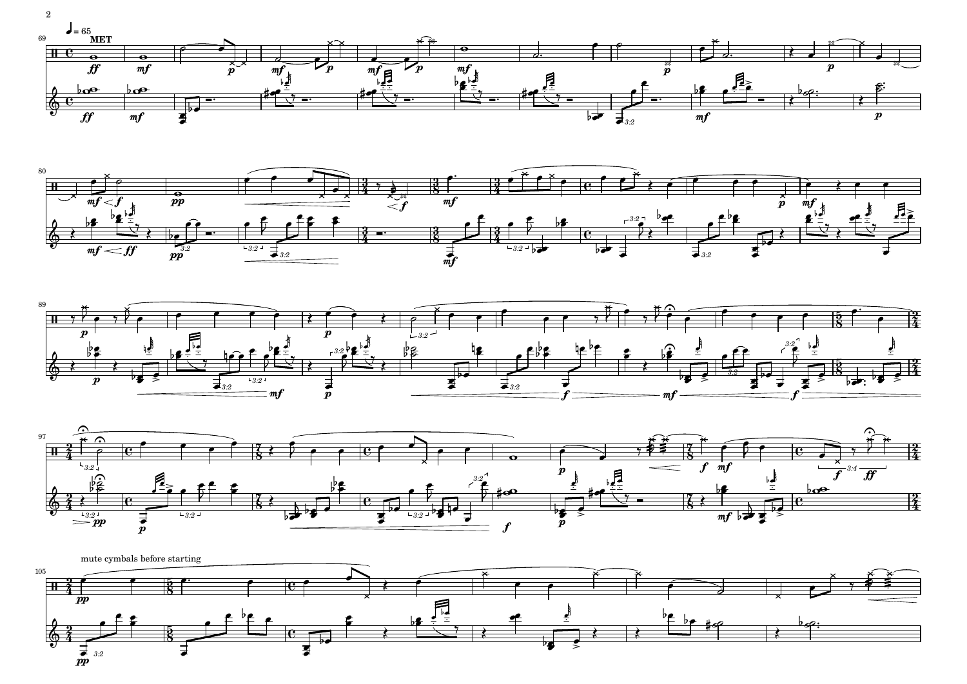2